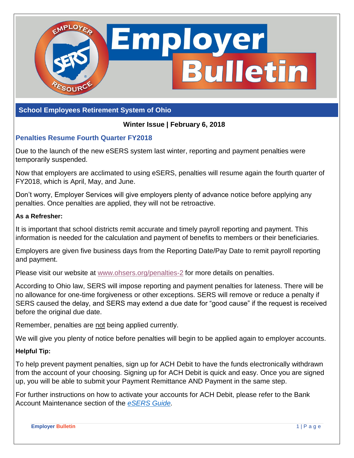

#### **School Employees Retirement System of Ohio**

#### **Winter Issue | February 6, 2018**

## **Penalties Resume Fourth Quarter FY2018**

Due to the launch of the new eSERS system last winter, reporting and payment penalties were temporarily suspended.

Now that employers are acclimated to using eSERS, penalties will resume again the fourth quarter of FY2018, which is April, May, and June.

Don't worry, Employer Services will give employers plenty of advance notice before applying any penalties. Once penalties are applied, they will not be retroactive.

#### **As a Refresher:**

It is important that school districts remit accurate and timely payroll reporting and payment. This information is needed for the calculation and payment of benefits to members or their beneficiaries.

Employers are given five business days from the Reporting Date/Pay Date to remit payroll reporting and payment.

Please visit our website at [www.ohsers.org/penalties-2](http://www.ohsers.org/penalties-2) for more details on penalties.

According to Ohio law, SERS will impose reporting and payment penalties for lateness. There will be no allowance for one-time forgiveness or other exceptions. SERS will remove or reduce a penalty if SERS caused the delay, and SERS may extend a due date for "good cause" if the request is received before the original due date.

Remember, penalties are not being applied currently.

We will give you plenty of notice before penalties will begin to be applied again to employer accounts.

#### **Helpful Tip:**

To help prevent payment penalties, sign up for ACH Debit to have the funds electronically withdrawn from the account of your choosing. Signing up for ACH Debit is quick and easy. Once you are signed up, you will be able to submit your Payment Remittance AND Payment in the same step.

For further instructions on how to activate your accounts for ACH Debit, please refer to the Bank Account Maintenance section of the *[eSERS](http://www.ohsers.org/Document/Get/16781) Guide.*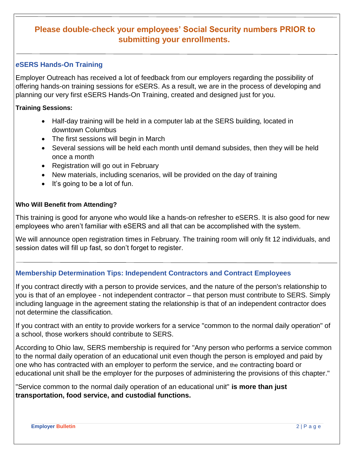# **Please double-check your employees' Social Security numbers PRIOR to submitting your enrollments.**

## *e***SERS Hands-On Training**

Employer Outreach has received a lot of feedback from our employers regarding the possibility of offering hands-on training sessions for eSERS. As a result, we are in the process of developing and planning our very first eSERS Hands-On Training, created and designed just for you.

#### **Training Sessions:**

- Half-day training will be held in a computer lab at the SERS building, located in downtown Columbus
- The first sessions will begin in March
- Several sessions will be held each month until demand subsides, then they will be held once a month
- Registration will go out in February
- New materials, including scenarios, will be provided on the day of training
- $\bullet$  It's going to be a lot of fun.

#### **Who Will Benefit from Attending?**

This training is good for anyone who would like a hands-on refresher to eSERS. It is also good for new employees who aren't familiar with eSERS and all that can be accomplished with the system.

We will announce open registration times in February. The training room will only fit 12 individuals, and session dates will fill up fast, so don't forget to register.

## **Membership Determination Tips: Independent Contractors and Contract Employees**

If you contract directly with a person to provide services, and the nature of the person's relationship to you is that of an employee - not independent contractor – that person must contribute to SERS. Simply including language in the agreement stating the relationship is that of an independent contractor does not determine the classification.

If you contract with an entity to provide workers for a service "common to the normal daily operation" of a school, those workers should contribute to SERS.

According to Ohio law, SERS membership is required for "Any person who performs a service common to the normal daily operation of an educational unit even though the person is employed and paid by one who has contracted with an employer to perform the service, and the contracting board or educational unit shall be the employer for the purposes of administering the provisions of this chapter."

"Service common to the normal daily operation of an educational unit" **is more than just transportation, food service, and custodial functions.**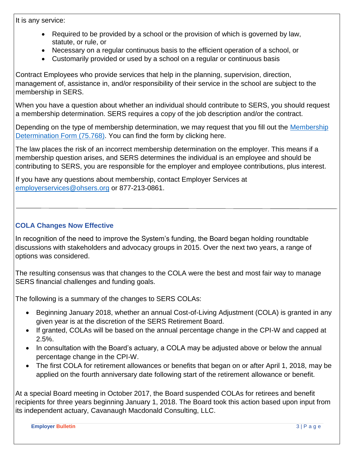It is any service:

- Required to be provided by a school or the provision of which is governed by law, statute, or rule, or
- Necessary on a regular continuous basis to the efficient operation of a school, or
- Customarily provided or used by a school on a regular or continuous basis

Contract Employees who provide services that help in the planning, supervision, direction, management of, assistance in, and/or responsibility of their service in the school are subject to the membership in SERS.

When you have a question about whether an individual should contribute to SERS, you should request a membership determination. SERS requires a copy of the job description and/or the contract.

Depending on the type of membership determination, we may request that you fill out the Membership [Determination Form \(75.768\).](http://www.ohsers.org/Document/Get/15710) You can find the form by clicking here.

The law places the risk of an incorrect membership determination on the employer. This means if a membership question arises, and SERS determines the individual is an employee and should be contributing to SERS, you are responsible for the employer and employee contributions, plus interest.

If you have any questions about membership, contact Employer Services at [employerservices@ohsers.org](mailto:employerservices@ohsers.org) or 877-213-0861.

## **COLA Changes Now Effective**

In recognition of the need to improve the System's funding, the Board began holding roundtable discussions with stakeholders and advocacy groups in 2015. Over the next two years, a range of options was considered.

The resulting consensus was that changes to the COLA were the best and most fair way to manage SERS financial challenges and funding goals.

The following is a summary of the changes to SERS COLAs:

- Beginning January 2018, whether an annual Cost-of-Living Adjustment (COLA) is granted in any given year is at the discretion of the SERS Retirement Board.
- If granted, COLAs will be based on the annual percentage change in the CPI-W and capped at 2.5%.
- In consultation with the Board's actuary, a COLA may be adjusted above or below the annual percentage change in the CPI-W.
- The first COLA for retirement allowances or benefits that began on or after April 1, 2018, may be applied on the fourth anniversary date following start of the retirement allowance or benefit.

At a special Board meeting in October 2017, the Board suspended COLAs for retirees and benefit recipients for three years beginning January 1, 2018. The Board took this action based upon input from its independent actuary, Cavanaugh Macdonald Consulting, LLC.